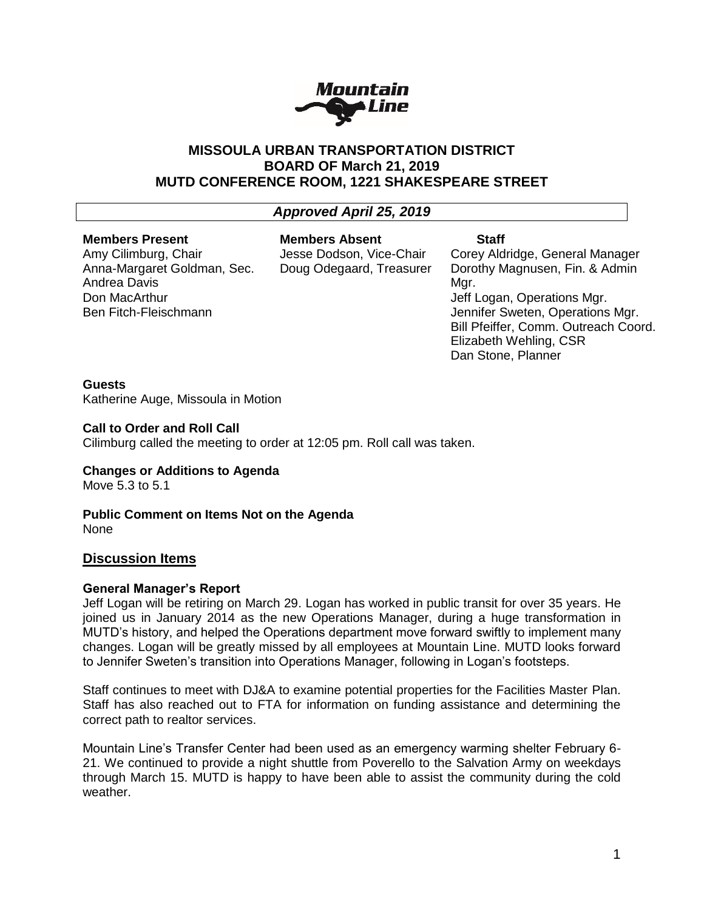

## **MISSOULA URBAN TRANSPORTATION DISTRICT BOARD OF March 21, 2019 MUTD CONFERENCE ROOM, 1221 SHAKESPEARE STREET**

# *Approved April 25, 2019*

#### **Members Present** Amy Cilimburg, Chair

Ben Fitch-Fleischmann

Andrea Davis Don MacArthur

Anna-Margaret Goldman, Sec.

**Members Absent**

Jesse Dodson, Vice-Chair Doug Odegaard, Treasurer

### **Staff**

Corey Aldridge, General Manager Dorothy Magnusen, Fin. & Admin Mar. Jeff Logan, Operations Mgr. Jennifer Sweten, Operations Mgr. Bill Pfeiffer, Comm. Outreach Coord. Elizabeth Wehling, CSR Dan Stone, Planner

## **Guests**

Katherine Auge, Missoula in Motion

### **Call to Order and Roll Call**

Cilimburg called the meeting to order at 12:05 pm. Roll call was taken.

## **Changes or Additions to Agenda**

Move 5.3 to 5.1

**Public Comment on Items Not on the Agenda** None

## **Discussion Items**

## **General Manager's Report**

Jeff Logan will be retiring on March 29. Logan has worked in public transit for over 35 years. He joined us in January 2014 as the new Operations Manager, during a huge transformation in MUTD's history, and helped the Operations department move forward swiftly to implement many changes. Logan will be greatly missed by all employees at Mountain Line. MUTD looks forward to Jennifer Sweten's transition into Operations Manager, following in Logan's footsteps.

Staff continues to meet with DJ&A to examine potential properties for the Facilities Master Plan. Staff has also reached out to FTA for information on funding assistance and determining the correct path to realtor services.

Mountain Line's Transfer Center had been used as an emergency warming shelter February 6- 21. We continued to provide a night shuttle from Poverello to the Salvation Army on weekdays through March 15. MUTD is happy to have been able to assist the community during the cold weather.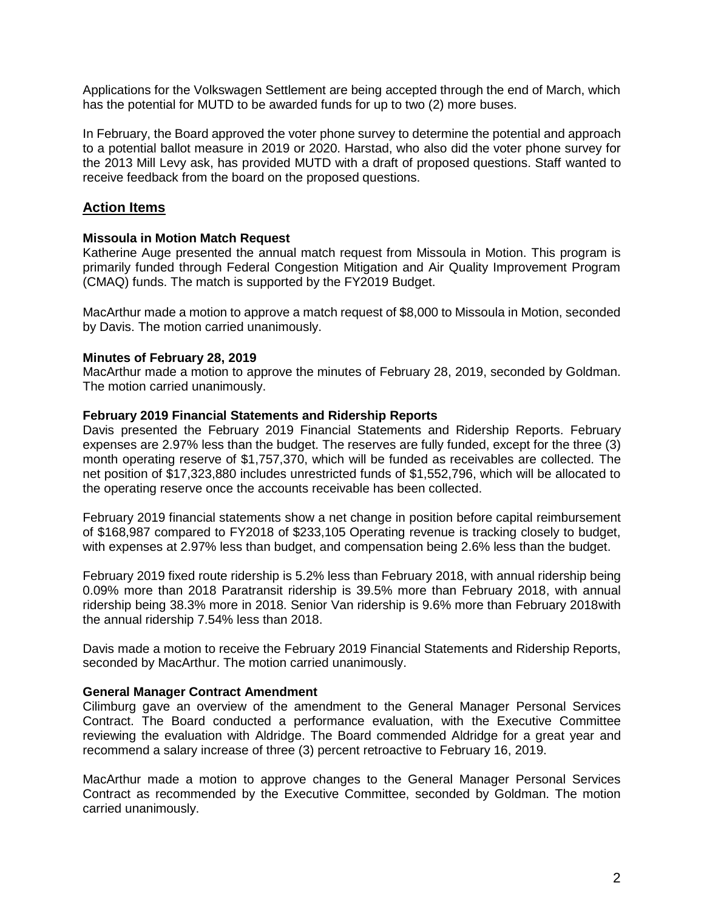Applications for the Volkswagen Settlement are being accepted through the end of March, which has the potential for MUTD to be awarded funds for up to two (2) more buses.

In February, the Board approved the voter phone survey to determine the potential and approach to a potential ballot measure in 2019 or 2020. Harstad, who also did the voter phone survey for the 2013 Mill Levy ask, has provided MUTD with a draft of proposed questions. Staff wanted to receive feedback from the board on the proposed questions.

## **Action Items**

### **Missoula in Motion Match Request**

Katherine Auge presented the annual match request from Missoula in Motion. This program is primarily funded through Federal Congestion Mitigation and Air Quality Improvement Program (CMAQ) funds. The match is supported by the FY2019 Budget.

MacArthur made a motion to approve a match request of \$8,000 to Missoula in Motion, seconded by Davis. The motion carried unanimously.

#### **Minutes of February 28, 2019**

MacArthur made a motion to approve the minutes of February 28, 2019, seconded by Goldman. The motion carried unanimously.

#### **February 2019 Financial Statements and Ridership Reports**

Davis presented the February 2019 Financial Statements and Ridership Reports. February expenses are 2.97% less than the budget. The reserves are fully funded, except for the three (3) month operating reserve of \$1,757,370, which will be funded as receivables are collected. The net position of \$17,323,880 includes unrestricted funds of \$1,552,796, which will be allocated to the operating reserve once the accounts receivable has been collected.

February 2019 financial statements show a net change in position before capital reimbursement of \$168,987 compared to FY2018 of \$233,105 Operating revenue is tracking closely to budget, with expenses at 2.97% less than budget, and compensation being 2.6% less than the budget.

February 2019 fixed route ridership is 5.2% less than February 2018, with annual ridership being 0.09% more than 2018 Paratransit ridership is 39.5% more than February 2018, with annual ridership being 38.3% more in 2018. Senior Van ridership is 9.6% more than February 2018with the annual ridership 7.54% less than 2018.

Davis made a motion to receive the February 2019 Financial Statements and Ridership Reports, seconded by MacArthur. The motion carried unanimously.

#### **General Manager Contract Amendment**

Cilimburg gave an overview of the amendment to the General Manager Personal Services Contract. The Board conducted a performance evaluation, with the Executive Committee reviewing the evaluation with Aldridge. The Board commended Aldridge for a great year and recommend a salary increase of three (3) percent retroactive to February 16, 2019.

MacArthur made a motion to approve changes to the General Manager Personal Services Contract as recommended by the Executive Committee, seconded by Goldman. The motion carried unanimously.